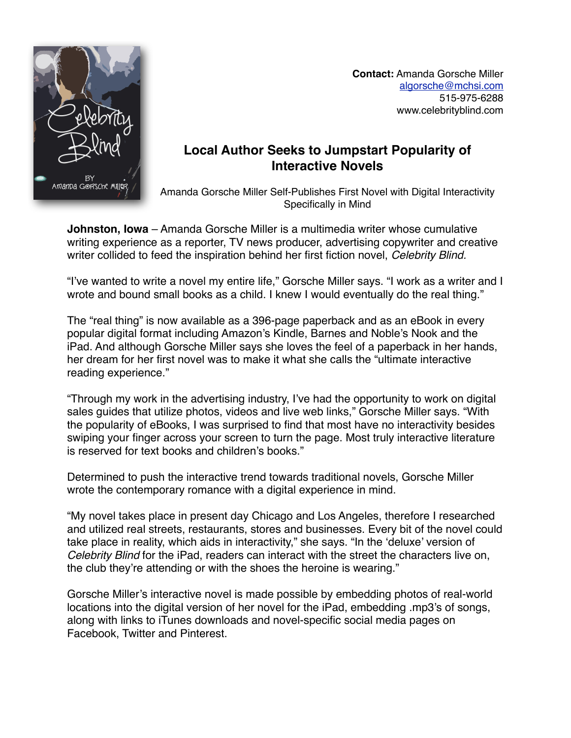

 **Contact:** Amanda Gorsche Miller [algorsche@mchsi.com](mailto:algorsche@mchsi.com) 515-975-6288 www.celebrityblind.com

## **Local Author Seeks to Jumpstart Popularity of Interactive Novels**

Amanda Gorsche Miller Self-Publishes First Novel with Digital Interactivity Specifically in Mind

**Johnston, Iowa** – Amanda Gorsche Miller is a multimedia writer whose cumulative writing experience as a reporter, TV news producer, advertising copywriter and creative writer collided to feed the inspiration behind her first fiction novel, *Celebrity Blind.*

"I've wanted to write a novel my entire life," Gorsche Miller says. "I work as a writer and I wrote and bound small books as a child. I knew I would eventually do the real thing."

The "real thing" is now available as a 396-page paperback and as an eBook in every popular digital format including Amazon's Kindle, Barnes and Noble's Nook and the iPad. And although Gorsche Miller says she loves the feel of a paperback in her hands, her dream for her first novel was to make it what she calls the "ultimate interactive reading experience."

"Through my work in the advertising industry, I've had the opportunity to work on digital sales guides that utilize photos, videos and live web links," Gorsche Miller says. "With the popularity of eBooks, I was surprised to find that most have no interactivity besides swiping your finger across your screen to turn the page. Most truly interactive literature is reserved for text books and children's books."

Determined to push the interactive trend towards traditional novels, Gorsche Miller wrote the contemporary romance with a digital experience in mind.

"My novel takes place in present day Chicago and Los Angeles, therefore I researched and utilized real streets, restaurants, stores and businesses. Every bit of the novel could take place in reality, which aids in interactivity," she says. "In the 'deluxe' version of *Celebrity Blind* for the iPad, readers can interact with the street the characters live on, the club they're attending or with the shoes the heroine is wearing."

Gorsche Miller's interactive novel is made possible by embedding photos of real-world locations into the digital version of her novel for the iPad, embedding .mp3's of songs, along with links to iTunes downloads and novel-specific social media pages on Facebook, Twitter and Pinterest.